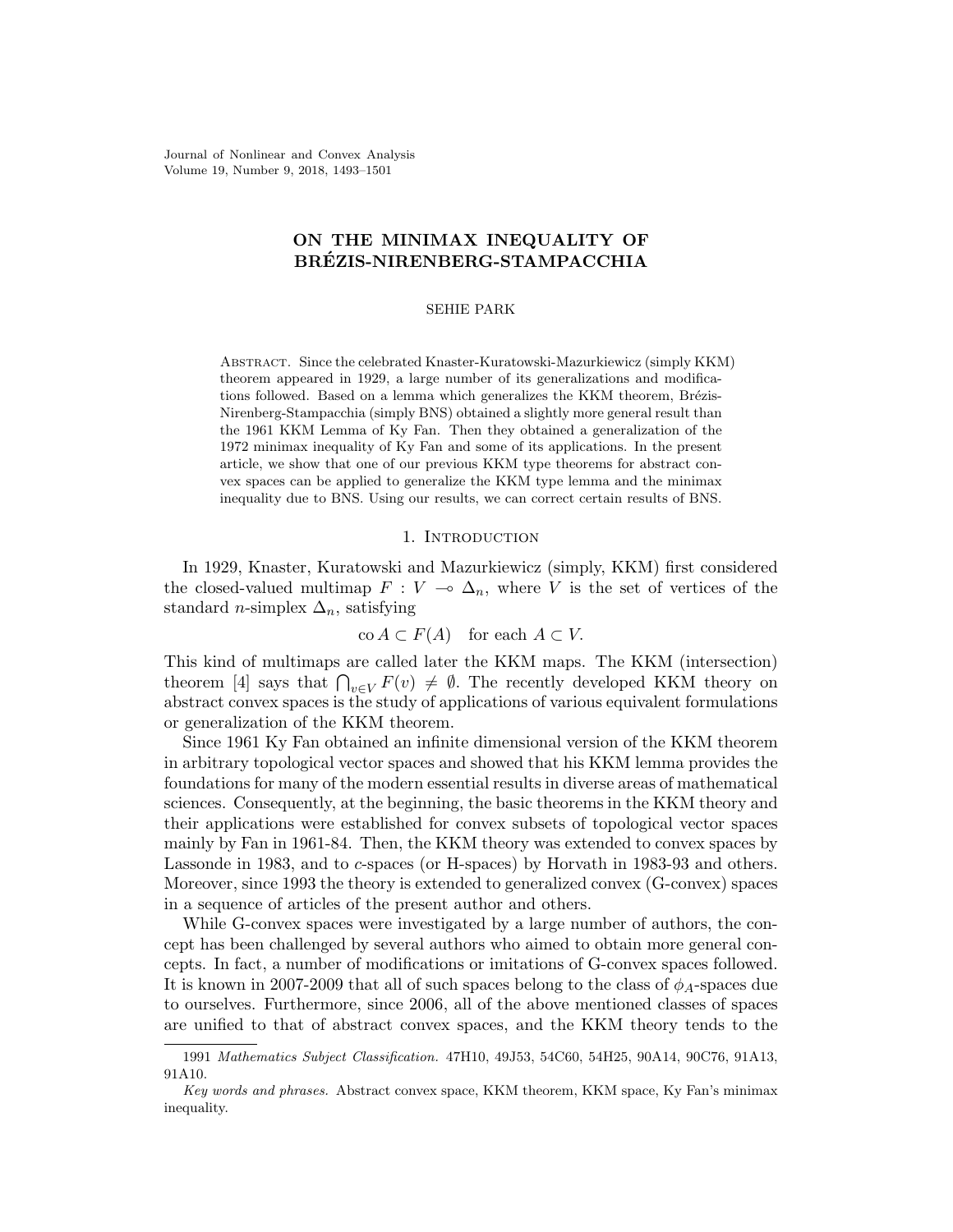Journal of Nonlinear and Convex Analysis Volume 19, Number 9, 2018, 1493–1501

# ON THE MINIMAX INEQUALITY OF BREZIS-NIRENBERG-STAMPACCHIA ´

### SEHIE PARK

Abstract. Since the celebrated Knaster-Kuratowski-Mazurkiewicz (simply KKM) theorem appeared in 1929, a large number of its generalizations and modifications followed. Based on a lemma which generalizes the KKM theorem, Brézis-Nirenberg-Stampacchia (simply BNS) obtained a slightly more general result than the 1961 KKM Lemma of Ky Fan. Then they obtained a generalization of the 1972 minimax inequality of Ky Fan and some of its applications. In the present article, we show that one of our previous KKM type theorems for abstract convex spaces can be applied to generalize the KKM type lemma and the minimax inequality due to BNS. Using our results, we can correct certain results of BNS.

### 1. INTRODUCTION

In 1929, Knaster, Kuratowski and Mazurkiewicz (simply, KKM) first considered the closed-valued multimap  $F : V \to \Delta_n$ , where V is the set of vertices of the standard *n*-simplex  $\Delta_n$ , satisfying

$$
co A \subset F(A) \quad \text{for each } A \subset V.
$$

This kind of multimaps are called later the KKM maps. The KKM (intersection) theorem [4] says that  $\bigcap_{v\in V} F(v) \neq \emptyset$ . The recently developed KKM theory on abstract convex spaces is the study of applications of various equivalent formulations or generalization of the KKM theorem.

Since 1961 Ky Fan obtained an infinite dimensional version of the KKM theorem in arbitrary topological vector spaces and showed that his KKM lemma provides the foundations for many of the modern essential results in diverse areas of mathematical sciences. Consequently, at the beginning, the basic theorems in the KKM theory and their applications were established for convex subsets of topological vector spaces mainly by Fan in 1961-84. Then, the KKM theory was extended to convex spaces by Lassonde in 1983, and to c-spaces (or H-spaces) by Horvath in 1983-93 and others. Moreover, since 1993 the theory is extended to generalized convex (G-convex) spaces in a sequence of articles of the present author and others.

While G-convex spaces were investigated by a large number of authors, the concept has been challenged by several authors who aimed to obtain more general concepts. In fact, a number of modifications or imitations of G-convex spaces followed. It is known in 2007-2009 that all of such spaces belong to the class of  $\phi_A$ -spaces due to ourselves. Furthermore, since 2006, all of the above mentioned classes of spaces are unified to that of abstract convex spaces, and the KKM theory tends to the

<sup>1991</sup> Mathematics Subject Classification. 47H10, 49J53, 54C60, 54H25, 90A14, 90C76, 91A13, 91A10.

Key words and phrases. Abstract convex space, KKM theorem, KKM space, Ky Fan's minimax inequality.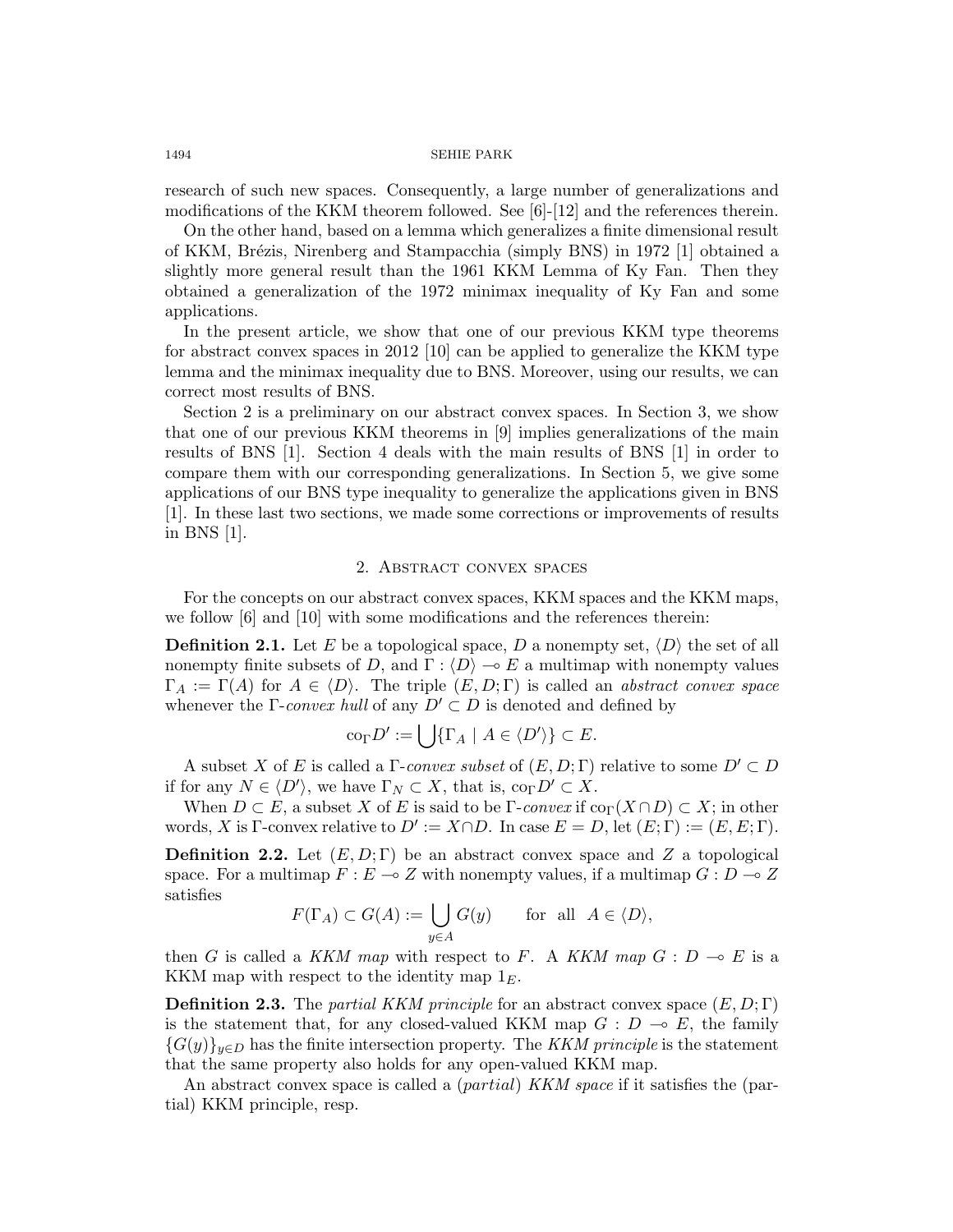research of such new spaces. Consequently, a large number of generalizations and modifications of the KKM theorem followed. See [6]-[12] and the references therein.

On the other hand, based on a lemma which generalizes a finite dimensional result of KKM, Brézis, Nirenberg and Stampacchia (simply BNS) in 1972 [1] obtained a slightly more general result than the 1961 KKM Lemma of Ky Fan. Then they obtained a generalization of the 1972 minimax inequality of Ky Fan and some applications.

In the present article, we show that one of our previous KKM type theorems for abstract convex spaces in 2012 [10] can be applied to generalize the KKM type lemma and the minimax inequality due to BNS. Moreover, using our results, we can correct most results of BNS.

Section 2 is a preliminary on our abstract convex spaces. In Section 3, we show that one of our previous KKM theorems in [9] implies generalizations of the main results of BNS [1]. Section 4 deals with the main results of BNS [1] in order to compare them with our corresponding generalizations. In Section 5, we give some applications of our BNS type inequality to generalize the applications given in BNS [1]. In these last two sections, we made some corrections or improvements of results in BNS [1].

## 2. Abstract convex spaces

For the concepts on our abstract convex spaces, KKM spaces and the KKM maps, we follow [6] and [10] with some modifications and the references therein:

**Definition 2.1.** Let E be a topological space, D a nonempty set,  $\langle D \rangle$  the set of all nonempty finite subsets of D, and  $\Gamma : \langle D \rangle \to E$  a multimap with nonempty values  $\Gamma_A := \Gamma(A)$  for  $A \in \langle D \rangle$ . The triple  $(E, D; \Gamma)$  is called an abstract convex space whenever the Γ-convex hull of any  $D' \subset D$  is denoted and defined by

$$
\text{co}_{\Gamma} D' := \bigcup \{ \Gamma_A \mid A \in \langle D' \rangle \} \subset E.
$$

A subset X of E is called a  $\Gamma$ -convex subset of  $(E, D; \Gamma)$  relative to some  $D' \subset D$ if for any  $N \in \langle D' \rangle$ , we have  $\Gamma_N \subset X$ , that is,  $\text{co}_{\Gamma} D' \subset X$ .

When  $D \subset E$ , a subset X of E is said to be  $\Gamma$ -convex if  $\text{co}_{\Gamma}(X \cap D) \subset X$ ; in other words, X is Γ-convex relative to  $D' := X \cap D$ . In case  $E = D$ , let  $(E; \Gamma) := (E, E; \Gamma)$ .

**Definition 2.2.** Let  $(E, D; \Gamma)$  be an abstract convex space and Z a topological space. For a multimap  $F : E \to Z$  with nonempty values, if a multimap  $G : D \to Z$ satisfies

$$
F(\Gamma_A) \subset G(A) := \bigcup_{y \in A} G(y) \quad \text{for all } A \in \langle D \rangle,
$$

then G is called a KKM map with respect to F. A KKM map  $G : D \multimap E$  is a KKM map with respect to the identity map  $1<sub>E</sub>$ .

**Definition 2.3.** The partial KKM principle for an abstract convex space  $(E, D; \Gamma)$ is the statement that, for any closed-valued KKM map  $G : D \multimap E$ , the family  ${G(y)}_{y\in D}$  has the finite intersection property. The KKM principle is the statement that the same property also holds for any open-valued KKM map.

An abstract convex space is called a  $(partial)$  KKM space if it satisfies the  $(par$ tial) KKM principle, resp.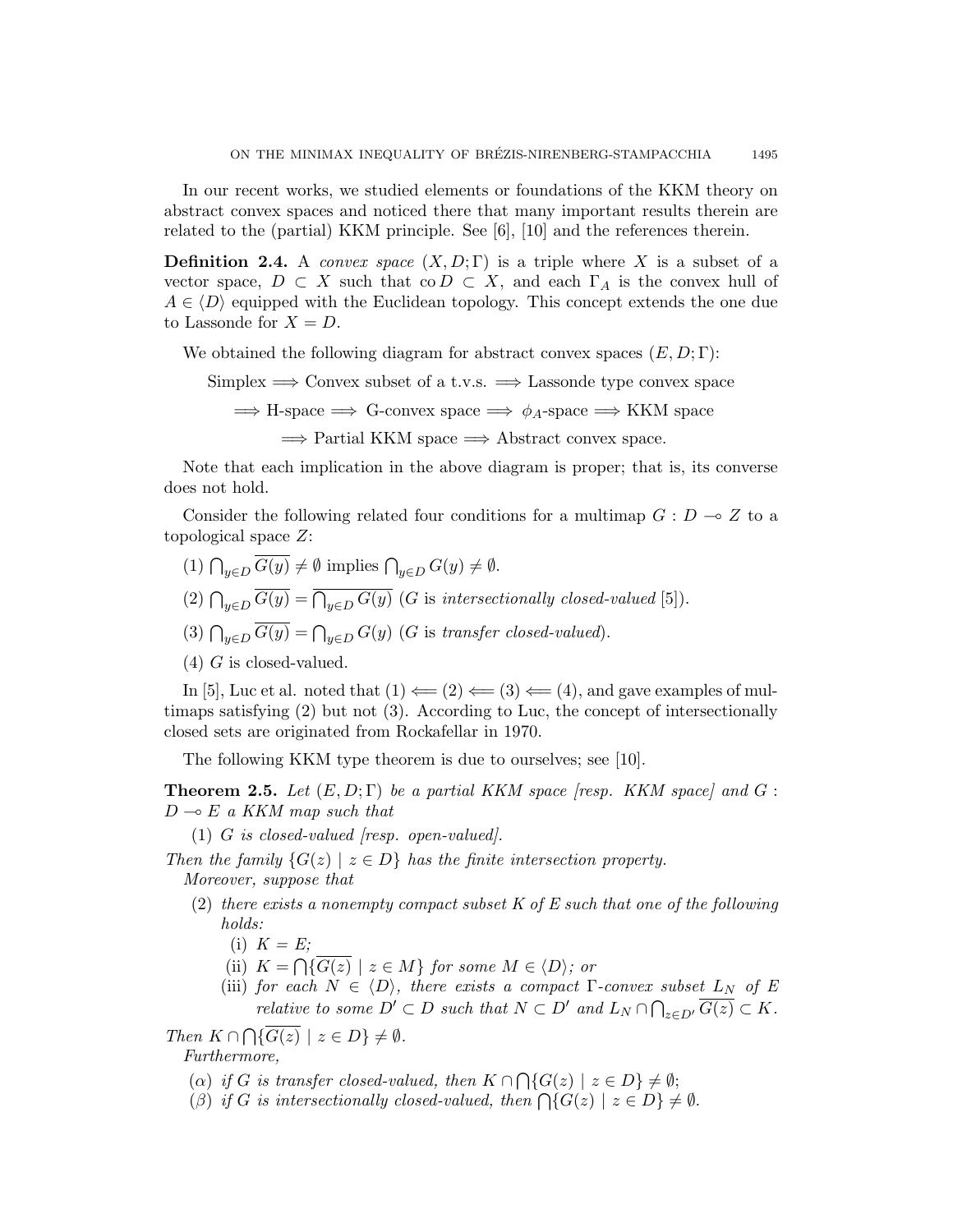In our recent works, we studied elements or foundations of the KKM theory on abstract convex spaces and noticed there that many important results therein are related to the (partial) KKM principle. See [6], [10] and the references therein.

**Definition 2.4.** A convex space  $(X, D; \Gamma)$  is a triple where X is a subset of a vector space,  $D \subset X$  such that co $D \subset X$ , and each  $\Gamma_A$  is the convex hull of  $A \in \langle D \rangle$  equipped with the Euclidean topology. This concept extends the one due to Lassonde for  $X = D$ .

We obtained the following diagram for abstract convex spaces  $(E, D; \Gamma)$ :

Simplex  $\Longrightarrow$  Convex subset of a t.v.s.  $\Longrightarrow$  Lassonde type convex space

 $\implies$  H-space  $\implies$  G-convex space  $\implies \phi_A$ -space  $\implies$  KKM space

 $\implies$  Partial KKM space  $\implies$  Abstract convex space.

Note that each implication in the above diagram is proper; that is, its converse does not hold.

Consider the following related four conditions for a multimap  $G: D \to Z$  to a topological space Z:

- (1)  $\bigcap_{y\in D} G(y) \neq \emptyset$  implies  $\bigcap_{y\in D} G(y) \neq \emptyset$ .
- (2)  $\bigcap_{y\in D} G(y) = \bigcap_{y\in D} G(y)$  (G is intersectionally closed-valued [5]).
- (3)  $\bigcap_{y \in D} G(y) = \bigcap_{y \in D} G(y)$  (G is transfer closed-valued).
- $(4)$  G is closed-valued.

In [5], Luc et al. noted that  $(1) \leftarrow (2) \leftarrow (3) \leftarrow (4)$ , and gave examples of multimaps satisfying (2) but not (3). According to Luc, the concept of intersectionally closed sets are originated from Rockafellar in 1970.

The following KKM type theorem is due to ourselves; see [10].

**Theorem 2.5.** Let  $(E, D; \Gamma)$  be a partial KKM space [resp. KKM space] and G:  $D \multimap E$  a KKM map such that

(1) G is closed-valued  $|resp.$  open-valued.

Then the family  $\{G(z) \mid z \in D\}$  has the finite intersection property. Moreover, suppose that

- (2) there exists a nonempty compact subset  $K$  of  $E$  such that one of the following holds:
	- $(i)$   $K = E$ ;
	- (ii)  $K = \bigcap \{ G(z) \mid z \in M \}$  for some  $M \in \langle D \rangle$ ; or
	- (iii) for each  $N \in \langle D \rangle$ , there exists a compact  $\Gamma$ -convex subset  $L_N$  of E relative to some  $D' \subset D$  such that  $N \subset D'$  and  $L_N \cap \bigcap_{z \in D'} \overline{G(z)} \subset K$ .

Then  $K \cap \bigcap \{G(z) \mid z \in D\} \neq \emptyset$ . Furthermore,

- (a) if G is transfer closed-valued, then  $K \cap \bigcap \{G(z) \mid z \in D\} \neq \emptyset;$
- (β) if G is intersectionally closed-valued, then  $\bigcap \{G(z) \mid z \in D\} \neq \emptyset$ .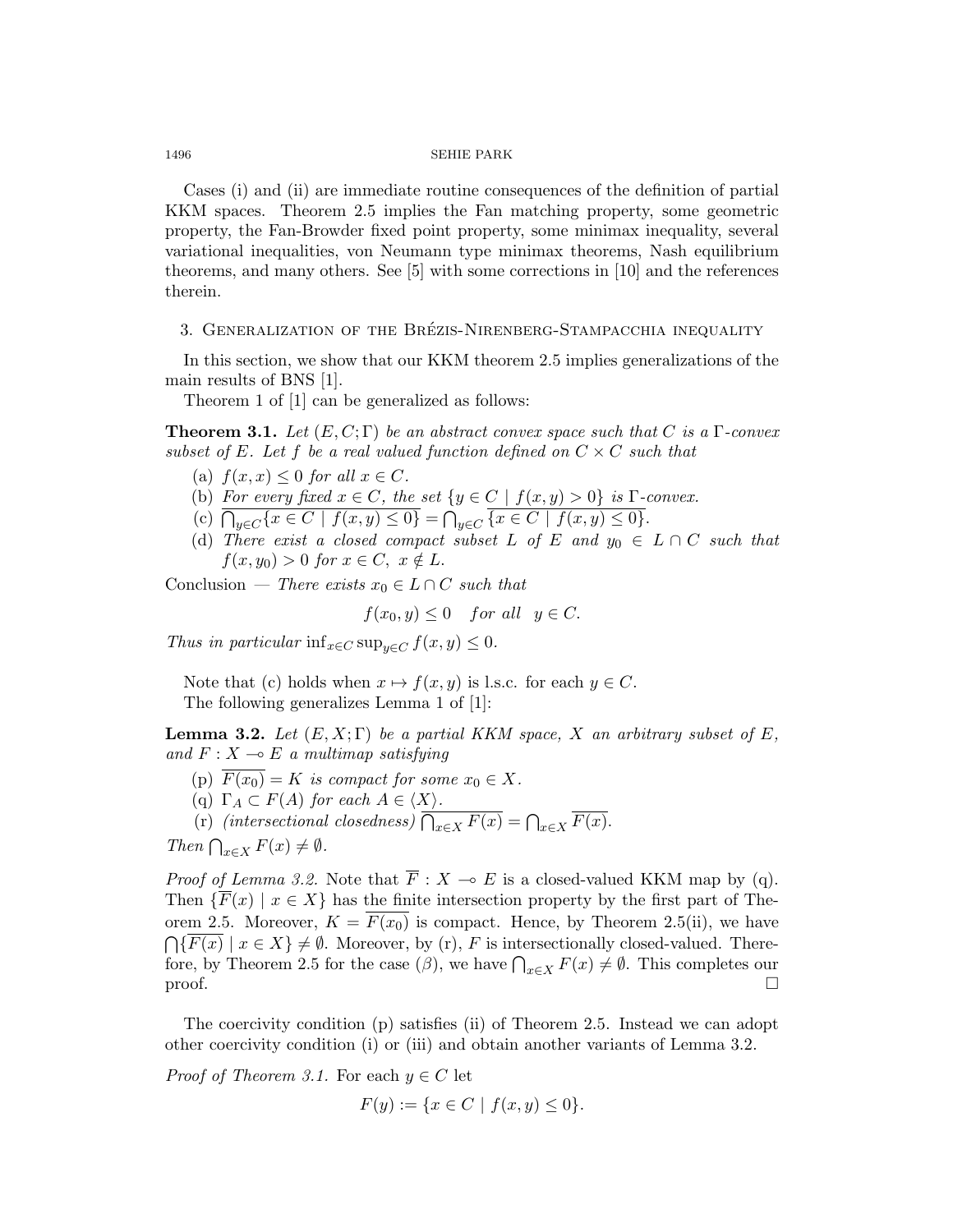Cases (i) and (ii) are immediate routine consequences of the definition of partial KKM spaces. Theorem 2.5 implies the Fan matching property, some geometric property, the Fan-Browder fixed point property, some minimax inequality, several variational inequalities, von Neumann type minimax theorems, Nash equilibrium theorems, and many others. See [5] with some corrections in [10] and the references therein.

## 3. GENERALIZATION OF THE BRÉZIS-NIRENBERG-STAMPACCHIA INEQUALITY

In this section, we show that our KKM theorem 2.5 implies generalizations of the main results of BNS [1].

Theorem 1 of [1] can be generalized as follows:

**Theorem 3.1.** Let  $(E, C; \Gamma)$  be an abstract convex space such that C is a  $\Gamma$ -convex subset of E. Let f be a real valued function defined on  $C \times C$  such that

- (a)  $f(x, x) \leq 0$  for all  $x \in C$ .
- (b) For every fixed  $x \in C$ , the set  $\{y \in C \mid f(x, y) > 0\}$  is  $\Gamma$ -convex.
- (c)  $\bigcap_{y \in C} \{x \in C \mid f(x, y) \leq 0\} = \bigcap_{y \in C} \{x \in C \mid f(x, y) \leq 0\}.$
- (d) There exist a closed compact subset L of E and  $y_0 \in L \cap C$  such that  $f(x, y_0) > 0$  for  $x \in C$ ,  $x \notin L$ .

Conclusion — There exists  $x_0 \in L \cap C$  such that

$$
f(x_0, y) \le 0 \quad \text{for all} \quad y \in C.
$$

Thus in particular inf<sub> $x \in C$ </sub> sup<sub> $y \in C$ </sub>  $f(x, y) \leq 0$ .

Note that (c) holds when  $x \mapsto f(x, y)$  is l.s.c. for each  $y \in C$ . The following generalizes Lemma 1 of [1]:

**Lemma 3.2.** Let  $(E, X; \Gamma)$  be a partial KKM space, X an arbitrary subset of E, and  $F: X \longrightarrow E$  a multimap satisfying

- (p)  $F(x_0) = K$  is compact for some  $x_0 \in X$ .
- (q)  $\Gamma_A \subset F(A)$  for each  $A \in \langle X \rangle$ .
- (r) (intersectional closedness)  $\bigcap_{x \in X} F(x) = \bigcap_{x \in X} F(x)$ .

Then  $\bigcap_{x\in X} F(x) \neq \emptyset$ .

*Proof of Lemma 3.2.* Note that  $\overline{F}$  :  $X \to E$  is a closed-valued KKM map by (q). Then  $\{\overline{F}(x) \mid x \in X\}$  has the finite intersection property by the first part of Theorem 2.5. Moreover,  $K = \overline{F(x_0)}$  is compact. Hence, by Theorem 2.5(ii), we have  $\bigcap \{F(x) \mid x \in X\} \neq \emptyset$ . Moreover, by (r), F is intersectionally closed-valued. Therefore, by Theorem 2.5 for the case  $(\beta)$ , we have  $\bigcap_{x\in X} F(x) \neq \emptyset$ . This completes our proof.  $\Box$ 

The coercivity condition (p) satisfies (ii) of Theorem 2.5. Instead we can adopt other coercivity condition (i) or (iii) and obtain another variants of Lemma 3.2.

*Proof of Theorem 3.1.* For each  $y \in C$  let

$$
F(y) := \{ x \in C \mid f(x, y) \le 0 \}.
$$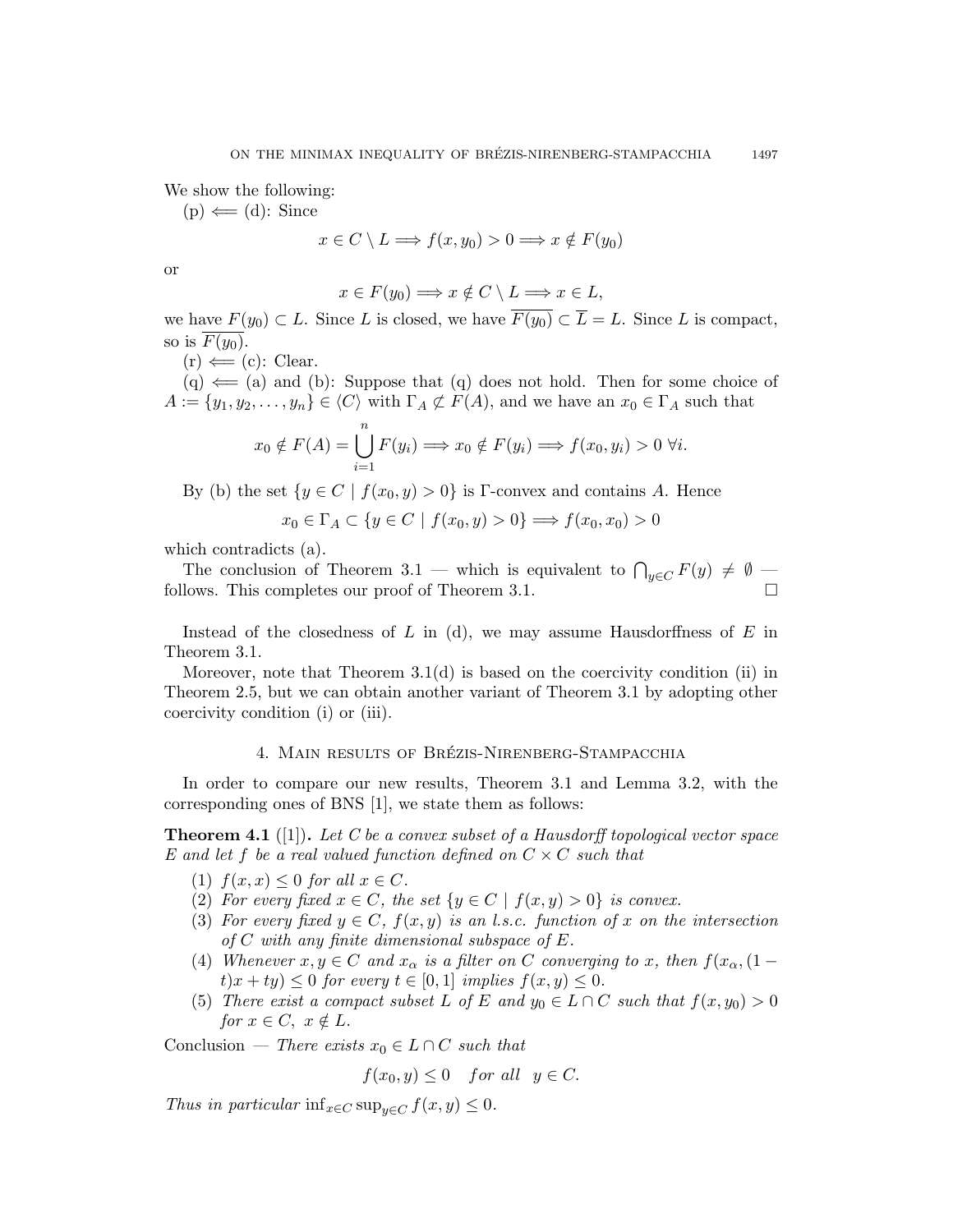We show the following:

 $(p) \leftarrow (d)$ : Since

$$
x \in C \setminus L \Longrightarrow f(x, y_0) > 0 \Longrightarrow x \notin F(y_0)
$$

or

$$
x \in F(y_0) \Longrightarrow x \notin C \setminus L \Longrightarrow x \in L,
$$

we have  $F(y_0) \subset L$ . Since L is closed, we have  $\overline{F(y_0)} \subset \overline{L} = L$ . Since L is compact, so is  $\overline{F(y_0)}$ .

$$
(r) \Longleftarrow (c) : Clear.
$$

 $(q) \leftarrow (a)$  and (b): Suppose that (q) does not hold. Then for some choice of  $A := \{y_1, y_2, \ldots, y_n\} \in \langle C \rangle$  with  $\Gamma_A \not\subset F(A)$ , and we have an  $x_0 \in \Gamma_A$  such that

$$
x_0 \notin F(A) = \bigcup_{i=1}^n F(y_i) \Longrightarrow x_0 \notin F(y_i) \Longrightarrow f(x_0, y_i) > 0 \,\forall i.
$$

By (b) the set  $\{y \in C \mid f(x_0, y) > 0\}$  is Γ-convex and contains A. Hence

$$
x_0 \in \Gamma_A \subset \{ y \in C \mid f(x_0, y) > 0 \} \Longrightarrow f(x_0, x_0) > 0
$$

which contradicts (a).

The conclusion of Theorem 3.1 — which is equivalent to  $\bigcap_{y\in C} F(y) \neq \emptyset$  follows. This completes our proof of Theorem 3.1.

Instead of the closedness of  $L$  in (d), we may assume Hausdorffness of  $E$  in Theorem 3.1.

Moreover, note that Theorem 3.1(d) is based on the coercivity condition (ii) in Theorem 2.5, but we can obtain another variant of Theorem 3.1 by adopting other coercivity condition (i) or (iii).

## 4. MAIN RESULTS OF BRÉZIS-NIRENBERG-STAMPACCHIA

In order to compare our new results, Theorem 3.1 and Lemma 3.2, with the corresponding ones of BNS [1], we state them as follows:

**Theorem 4.1** ([1]). Let C be a convex subset of a Hausdorff topological vector space E and let f be a real valued function defined on  $C \times C$  such that

- (1)  $f(x, x) \leq 0$  for all  $x \in C$ .
- (2) For every fixed  $x \in C$ , the set  $\{y \in C \mid f(x, y) > 0\}$  is convex.
- (3) For every fixed  $y \in C$ ,  $f(x, y)$  is an l.s.c. function of x on the intersection of  $C$  with any finite dimensional subspace of  $E$ .
- (4) Whenever  $x, y \in C$  and  $x_{\alpha}$  is a filter on C converging to x, then  $f(x_{\alpha}, (1$  $t(x + ty) \leq 0$  for every  $t \in [0,1]$  implies  $f(x, y) \leq 0$ .
- (5) There exist a compact subset L of E and  $y_0 \in L \cap C$  such that  $f(x, y_0) > 0$ for  $x \in C$ ,  $x \notin L$ .

Conclusion — There exists  $x_0 \in L \cap C$  such that

$$
f(x_0, y) \le 0 \quad \text{for all} \quad y \in C.
$$

Thus in particular inf<sub>x∈C</sub> sup<sub>u∈C</sub>  $f(x, y) \leq 0$ .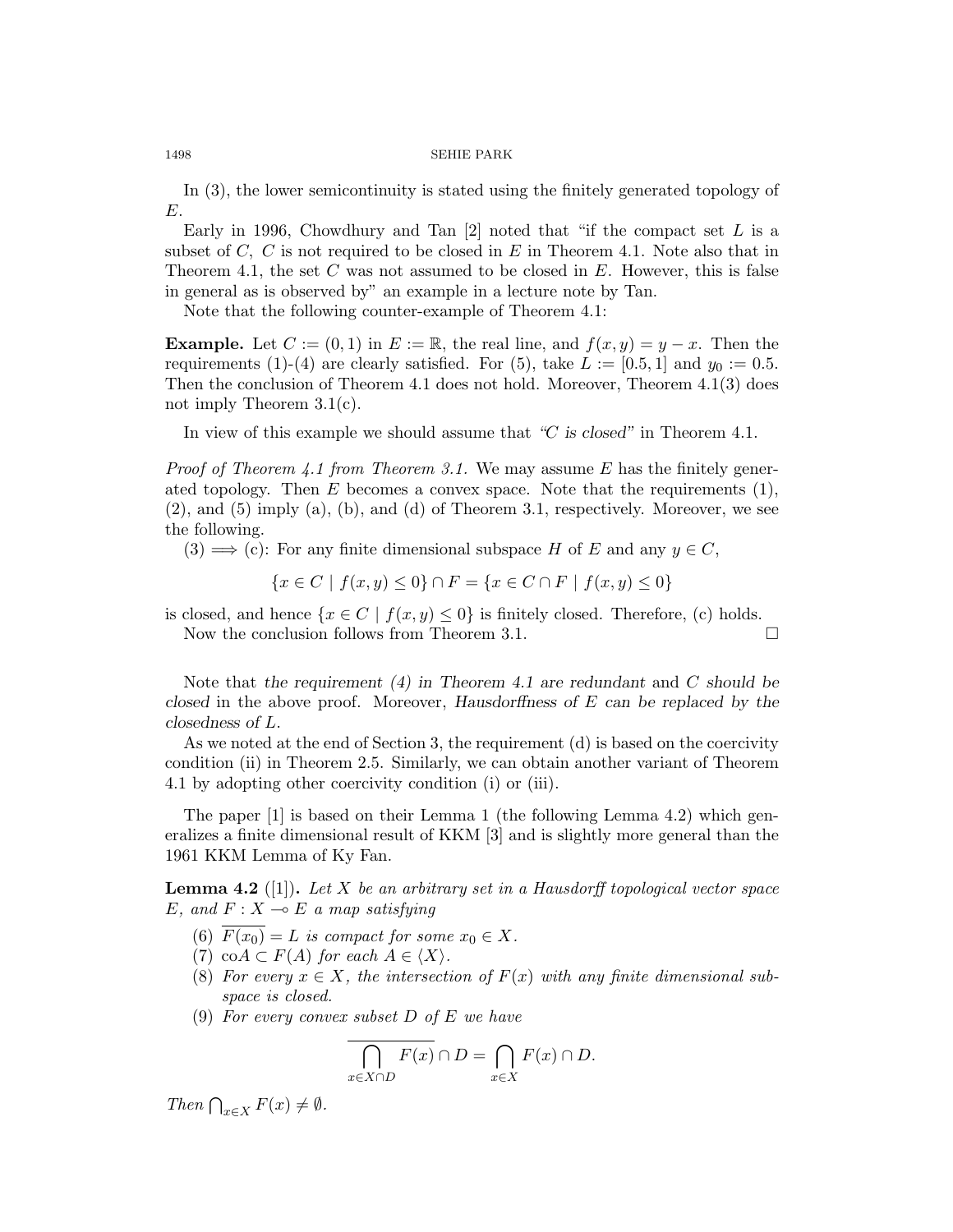In (3), the lower semicontinuity is stated using the finitely generated topology of E.

Early in 1996, Chowdhury and Tan  $[2]$  noted that "if the compact set L is a subset of  $C, C$  is not required to be closed in  $E$  in Theorem 4.1. Note also that in Theorem 4.1, the set  $C$  was not assumed to be closed in  $E$ . However, this is false in general as is observed by" an example in a lecture note by Tan.

Note that the following counter-example of Theorem 4.1:

**Example.** Let  $C := (0, 1)$  in  $E := \mathbb{R}$ , the real line, and  $f(x, y) = y - x$ . Then the requirements (1)-(4) are clearly satisfied. For (5), take  $L := [0.5, 1]$  and  $y_0 := 0.5$ . Then the conclusion of Theorem 4.1 does not hold. Moreover, Theorem 4.1(3) does not imply Theorem 3.1(c).

In view of this example we should assume that "C is closed" in Theorem 4.1.

*Proof of Theorem 4.1 from Theorem 3.1.* We may assume E has the finitely generated topology. Then  $E$  becomes a convex space. Note that the requirements  $(1)$ ,  $(2)$ , and  $(5)$  imply  $(a)$ ,  $(b)$ , and  $(d)$  of Theorem 3.1, respectively. Moreover, we see the following.

 $(3) \Longrightarrow$  (c): For any finite dimensional subspace H of E and any  $y \in C$ ,

$$
\{x \in C \mid f(x, y) \le 0\} \cap F = \{x \in C \cap F \mid f(x, y) \le 0\}
$$

is closed, and hence  $\{x \in C \mid f(x, y) \leq 0\}$  is finitely closed. Therefore, (c) holds. Now the conclusion follows from Theorem 3.1.

Note that the requirement  $(4)$  in Theorem 4.1 are redundant and C should be closed in the above proof. Moreover, Hausdorffness of E can be replaced by the closedness of L.

As we noted at the end of Section 3, the requirement (d) is based on the coercivity condition (ii) in Theorem 2.5. Similarly, we can obtain another variant of Theorem 4.1 by adopting other coercivity condition (i) or (iii).

The paper [1] is based on their Lemma 1 (the following Lemma 4.2) which generalizes a finite dimensional result of KKM [3] and is slightly more general than the 1961 KKM Lemma of Ky Fan.

**Lemma 4.2** ([1]). Let X be an arbitrary set in a Hausdorff topological vector space E, and  $F: X \rightarrow E$  a map satisfying

- (6)  $\overline{F(x_0)} = L$  is compact for some  $x_0 \in X$ .
- (7) co $A \subset F(A)$  for each  $A \in \langle X \rangle$ .
- (8) For every  $x \in X$ , the intersection of  $F(x)$  with any finite dimensional subspace is closed.
- (9) For every convex subset  $D$  of  $E$  we have

$$
\bigcap_{x \in X \cap D} F(x) \cap D = \bigcap_{x \in X} F(x) \cap D.
$$

Then  $\bigcap_{x\in X} F(x) \neq \emptyset$ .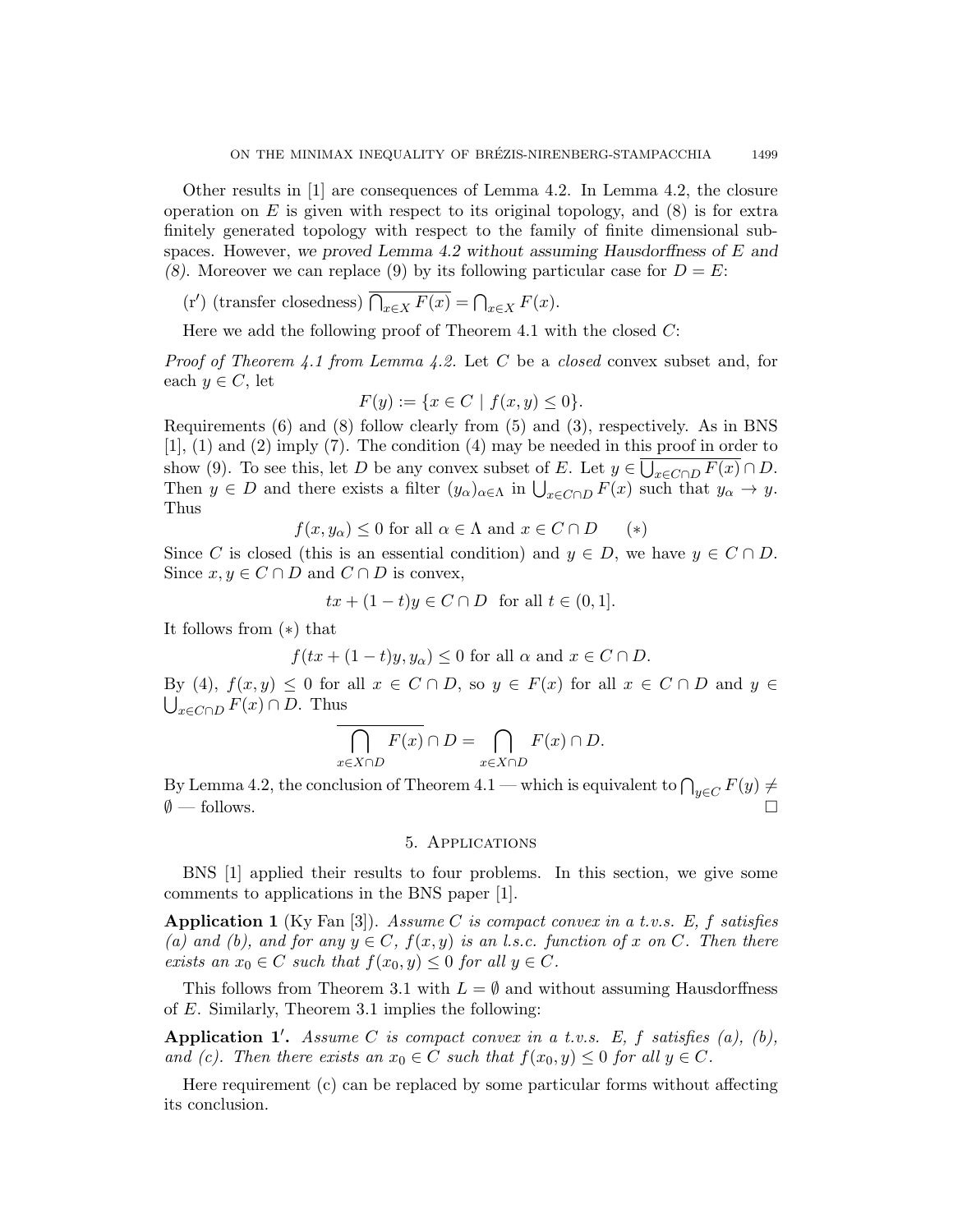Other results in [1] are consequences of Lemma 4.2. In Lemma 4.2, the closure operation on  $E$  is given with respect to its original topology, and  $(8)$  is for extra finitely generated topology with respect to the family of finite dimensional subspaces. However, we proved Lemma 4.2 without assuming Hausdorffness of  $E$  and (8). Moreover we can replace (9) by its following particular case for  $D = E$ :

(r') (transfer closedness)  $\overline{\bigcap_{x\in X} F(x)} = \bigcap_{x\in X} F(x)$ .

Here we add the following proof of Theorem 4.1 with the closed  $C$ :

*Proof of Theorem 4.1 from Lemma 4.2.* Let C be a *closed* convex subset and, for each  $y \in C$ , let

$$
F(y) := \{ x \in C \mid f(x, y) \le 0 \}.
$$

Requirements (6) and (8) follow clearly from (5) and (3), respectively. As in BNS  $[1]$ ,  $(1)$  and  $(2)$  imply  $(7)$ . The condition  $(4)$  may be needed in this proof in order to show (9). To see this, let D be any convex subset of E. Let  $y \in \bigcup_{x \in C \cap D} F(x) \cap D$ . Then  $y \in D$  and there exists a filter  $(y_\alpha)_{\alpha \in \Lambda}$  in  $\bigcup_{x \in C \cap D} F(x)$  such that  $y_\alpha \to y$ . Thus

$$
f(x, y_{\alpha}) \le 0
$$
 for all  $\alpha \in \Lambda$  and  $x \in C \cap D$  (\*)

Since C is closed (this is an essential condition) and  $y \in D$ , we have  $y \in C \cap D$ . Since  $x, y \in C \cap D$  and  $C \cap D$  is convex,

$$
tx + (1 - t)y \in C \cap D \text{ for all } t \in (0, 1].
$$

It follows from (∗) that

$$
f(tx + (1-t)y, y_\alpha) \le 0
$$
 for all  $\alpha$  and  $x \in C \cap D$ .

By (4),  $f(x, y) \leq 0$  for all  $x \in C \cap D$ , so  $y \in F(x)$  for all  $x \in C \cap D$  and  $y \in$  $\bigcup_{x \in C \cap D} F(x) \cap D$ . Thus

$$
\overline{\bigcap_{x\in X\cap D} F(x)} \cap D = \bigcap_{x\in X\cap D} F(x) \cap D.
$$

By Lemma 4.2, the conclusion of Theorem 4.1 — which is equivalent to  $\bigcap_{y\in C} F(y) \neq \emptyset$  $\emptyset$  — follows.

## 5. Applications

BNS [1] applied their results to four problems. In this section, we give some comments to applications in the BNS paper [1].

**Application 1** (Ky Fan [3]). Assume C is compact convex in a t.v.s. E, f satisfies (a) and (b), and for any  $y \in C$ ,  $f(x, y)$  is an l.s.c. function of x on C. Then there exists an  $x_0 \in C$  such that  $f(x_0, y) \leq 0$  for all  $y \in C$ .

This follows from Theorem 3.1 with  $L = \emptyset$  and without assuming Hausdorffness of E. Similarly, Theorem 3.1 implies the following:

Application 1'. Assume C is compact convex in a t.v.s. E, f satisfies (a), (b), and (c). Then there exists an  $x_0 \in C$  such that  $f(x_0, y) \leq 0$  for all  $y \in C$ .

Here requirement (c) can be replaced by some particular forms without affecting its conclusion.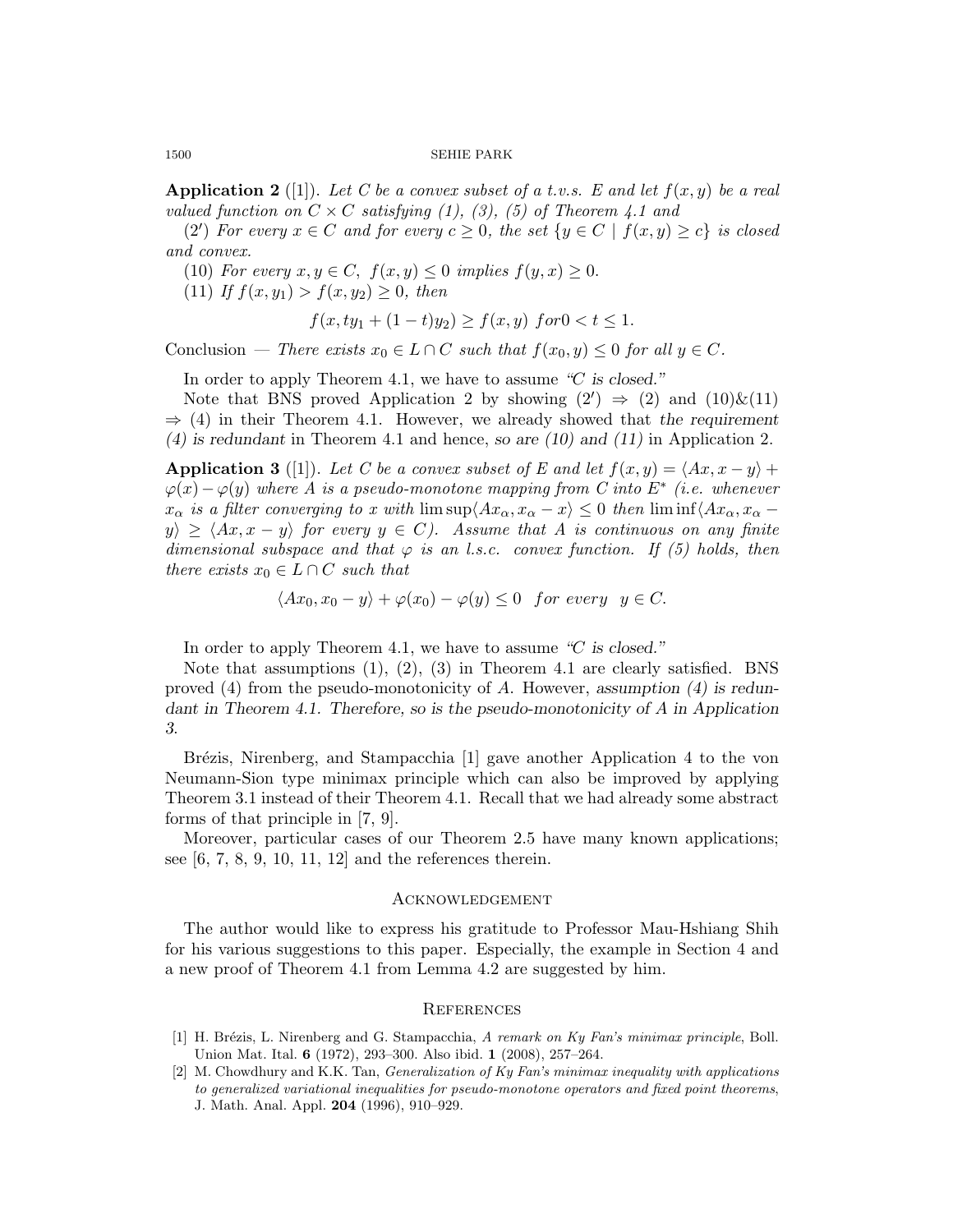**Application 2** ([1]). Let C be a convex subset of a t.v.s. E and let  $f(x, y)$  be a real valued function on  $C \times C$  satisfying (1), (3), (5) of Theorem 4.1 and

(2') For every  $x \in C$  and for every  $c \geq 0$ , the set  $\{y \in C \mid f(x, y) \geq c\}$  is closed and convex.

(10) For every  $x, y \in C$ ,  $f(x, y) \leq 0$  implies  $f(y, x) \geq 0$ .

(11) If  $f(x, y_1) > f(x, y_2) \geq 0$ , then

$$
f(x, ty_1 + (1 - t)y_2) \ge f(x, y) \text{ for } 0 < t \le 1.
$$

Conclusion — There exists  $x_0 \in L \cap C$  such that  $f(x_0, y) \leq 0$  for all  $y \in C$ .

In order to apply Theorem 4.1, we have to assume "C is closed."

Note that BNS proved Application 2 by showing  $(2') \Rightarrow (2)$  and  $(10) \& (11)$  $\Rightarrow$  (4) in their Theorem 4.1. However, we already showed that the requirement (4) is redundant in Theorem 4.1 and hence, so are  $(10)$  and  $(11)$  in Application 2.

Application 3 ([1]). Let C be a convex subset of E and let  $f(x, y) = \langle Ax, x - y \rangle +$  $\varphi(x) - \varphi(y)$  where A is a pseudo-monotone mapping from C into  $E^*$  (i.e. whenever  $x_{\alpha}$  is a filter converging to x with  $\limsup\langle Ax_{\alpha}, x_{\alpha} - x \rangle \leq 0$  then  $\liminf\langle Ax_{\alpha}, x_{\alpha} - x \rangle$  $y_i \geq \langle Ax, x - y \rangle$  for every  $y \in C$ ). Assume that A is continuous on any finite dimensional subspace and that  $\varphi$  is an l.s.c. convex function. If (5) holds, then there exists  $x_0 \in L \cap C$  such that

$$
\langle Ax_0, x_0 - y \rangle + \varphi(x_0) - \varphi(y) \le 0 \quad \text{for every} \quad y \in C.
$$

In order to apply Theorem 4.1, we have to assume "C is closed."

Note that assumptions  $(1)$ ,  $(2)$ ,  $(3)$  in Theorem 4.1 are clearly satisfied. BNS proved  $(4)$  from the pseudo-monotonicity of A. However, assumption  $(4)$  is redundant in Theorem 4.1. Therefore, so is the pseudo-monotonicity of A in Application 3.

Brézis, Nirenberg, and Stampacchia [1] gave another Application 4 to the von Neumann-Sion type minimax principle which can also be improved by applying Theorem 3.1 instead of their Theorem 4.1. Recall that we had already some abstract forms of that principle in [7, 9].

Moreover, particular cases of our Theorem 2.5 have many known applications; see  $[6, 7, 8, 9, 10, 11, 12]$  and the references therein.

## Acknowledgement

The author would like to express his gratitude to Professor Mau-Hshiang Shih for his various suggestions to this paper. Especially, the example in Section 4 and a new proof of Theorem 4.1 from Lemma 4.2 are suggested by him.

## **REFERENCES**

- [1] H. Brézis, L. Nirenberg and G. Stampacchia, A remark on Ky Fan's minimax principle, Boll. Union Mat. Ital. 6 (1972), 293–300. Also ibid. 1 (2008), 257–264.
- [2] M. Chowdhury and K.K. Tan, Generalization of Ky Fan's minimax inequality with applications to generalized variational inequalities for pseudo-monotone operators and fixed point theorems, J. Math. Anal. Appl. 204 (1996), 910–929.